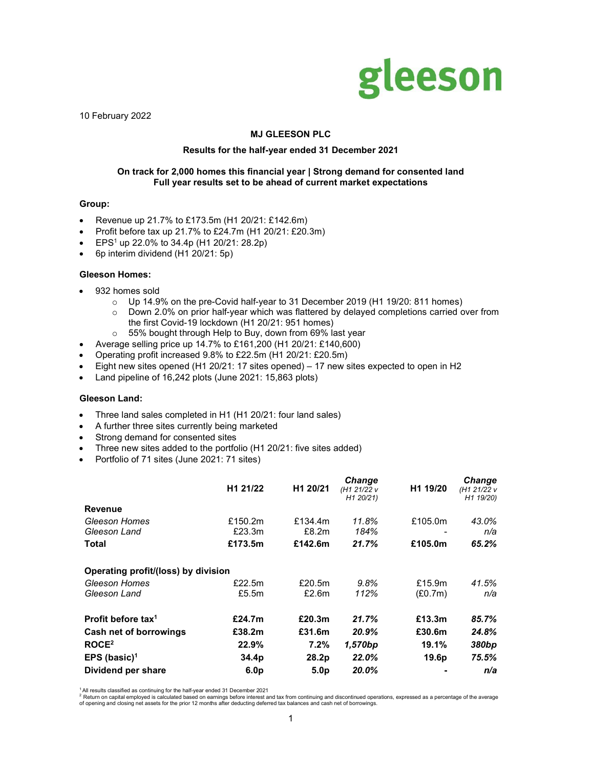

10 February 2022

## MJ GLEESON PLC

#### Results for the half-year ended 31 December 2021

### On track for 2,000 homes this financial year | Strong demand for consented land Full year results set to be ahead of current market expectations

#### Group:

- Revenue up 21.7% to £173.5m (H1 20/21: £142.6m)
- Profit before tax up 21.7% to £24.7m (H1 20/21: £20.3m)
- EPS<sup>1</sup> up 22.0% to 34.4p (H1 20/21: 28.2p)
- 6p interim dividend (H1 20/21: 5p)

### Gleeson Homes:

- 932 homes sold
	- o Up 14.9% on the pre-Covid half-year to 31 December 2019 (H1 19/20: 811 homes)
	- $\circ$  Down 2.0% on prior half-year which was flattered by delayed completions carried over from the first Covid-19 lockdown (H1 20/21: 951 homes)
	- $\circ$  55% bought through Help to Buy, down from 69% last year
- Average selling price up 14.7% to £161,200 (H1 20/21: £140,600)
- Operating profit increased 9.8% to £22.5m (H1 20/21: £20.5m)
- Eight new sites opened (H1 20/21: 17 sites opened) 17 new sites expected to open in H2
- Land pipeline of 16,242 plots (June 2021: 15,863 plots)

### Gleeson Land:

- Three land sales completed in H1 (H1 20/21: four land sales)
- A further three sites currently being marketed
- Strong demand for consented sites
- Three new sites added to the portfolio (H1 20/21: five sites added)
- Portfolio of 71 sites (June 2021: 71 sites)

|                                     | H1 21/22         | H1 20/21         | <b>Change</b><br>(H1 21/22 v<br>H1 20/21) | H <sub>1</sub> 19/20 | Change<br>(H1 21/22 v<br>H1 19/20) |
|-------------------------------------|------------------|------------------|-------------------------------------------|----------------------|------------------------------------|
| Revenue                             |                  |                  |                                           |                      |                                    |
| Gleeson Homes                       | £150.2m          | £134.4m          | 11.8%                                     | £105.0m              | 43.0%                              |
| Gleeson Land                        | £23.3m           | £8.2m            | 184%                                      |                      | n/a                                |
| Total                               | £173.5m          | £142.6m          | 21.7%                                     | £105.0m              | 65.2%                              |
| Operating profit/(loss) by division |                  |                  |                                           |                      |                                    |
| Gleeson Homes                       | £22.5 $m$        | £20.5 $m$        | 9.8%                                      | £15.9m               | 41.5%                              |
| Gleeson Land                        | £5.5m            | £2.6m            | 112%                                      | (E0.7m)              | n/a                                |
| Profit before tax <sup>1</sup>      | £24.7m           | £20.3m           | 21.7%                                     | £13.3m               | 85.7%                              |
| Cash net of borrowings              | £38.2m           | £31.6m           | 20.9%                                     | £30.6m               | 24.8%                              |
| ROCE <sup>2</sup>                   | 22.9%            | 7.2%             | 1,570bp                                   | 19.1%                | 380bp                              |
| EPS (basic) <sup>1</sup>            | 34.4p            | 28.2p            | 22.0%                                     | 19.6p                | 75.5%                              |
| Dividend per share                  | 6.0 <sub>p</sub> | 5.0 <sub>p</sub> | 20.0%                                     |                      | n/a                                |

<sup>1</sup> All results classified as continuing for the half-year ended 31 December 2021<br><sup>2</sup> Return on capital employed is calculated based on earnings before interest and tax from continuing and discontinued operations, expresse of opening and closing net assets for the prior 12 months after deducting deferred tax balances and cash net of borrowings.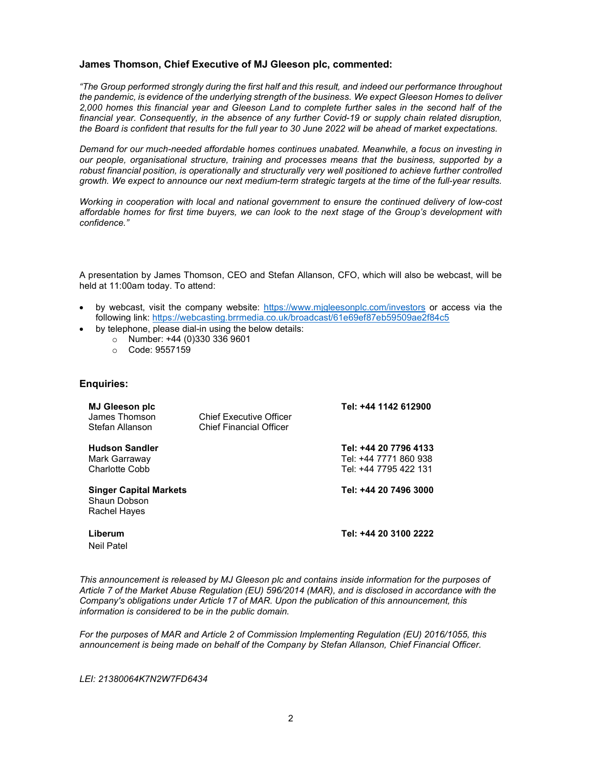# James Thomson, Chief Executive of MJ Gleeson plc, commented:

"The Group performed strongly during the first half and this result, and indeed our performance throughout the pandemic, is evidence of the underlying strength of the business. We expect Gleeson Homes to deliver 2,000 homes this financial year and Gleeson Land to complete further sales in the second half of the financial year. Consequently, in the absence of any further Covid-19 or supply chain related disruption, the Board is confident that results for the full year to 30 June 2022 will be ahead of market expectations.

Demand for our much-needed affordable homes continues unabated. Meanwhile, a focus on investing in our people, organisational structure, training and processes means that the business, supported by a robust financial position, is operationally and structurally very well positioned to achieve further controlled growth. We expect to announce our next medium-term strategic targets at the time of the full-year results.

Working in cooperation with local and national government to ensure the continued delivery of low-cost affordable homes for first time buyers, we can look to the next stage of the Group's development with confidence."

A presentation by James Thomson, CEO and Stefan Allanson, CFO, which will also be webcast, will be held at 11:00am today. To attend:

- by webcast, visit the company website: https://www.mjgleesonplc.com/investors or access via the following link: https://webcasting.brrmedia.co.uk/broadcast/61e69ef87eb59509ae2f84c5
- by telephone, please dial-in using the below details:
	- o Number: +44 (0)330 336 9601
	- o Code: 9557159

### Enquiries:

| <b>MJ Gleeson plc</b><br>James Thomson<br>Stefan Allanson     | <b>Chief Executive Officer</b><br><b>Chief Financial Officer</b> | Tel: +44 1142 612900                                                    |
|---------------------------------------------------------------|------------------------------------------------------------------|-------------------------------------------------------------------------|
| <b>Hudson Sandler</b><br>Mark Garraway<br>Charlotte Cobb      |                                                                  | Tel: +44 20 7796 4133<br>Tel: +44 7771 860 938<br>Tel: +44 7795 422 131 |
| <b>Singer Capital Markets</b><br>Shaun Dobson<br>Rachel Hayes |                                                                  | Tel: +44 20 7496 3000                                                   |
| Liberum<br><b>Neil Patel</b>                                  |                                                                  | Tel: +44 20 3100 2222                                                   |

This announcement is released by MJ Gleeson plc and contains inside information for the purposes of Article 7 of the Market Abuse Regulation (EU) 596/2014 (MAR), and is disclosed in accordance with the Company's obligations under Article 17 of MAR. Upon the publication of this announcement, this information is considered to be in the public domain.

For the purposes of MAR and Article 2 of Commission Implementing Regulation (EU) 2016/1055, this announcement is being made on behalf of the Company by Stefan Allanson, Chief Financial Officer.

LEI: 21380064K7N2W7FD6434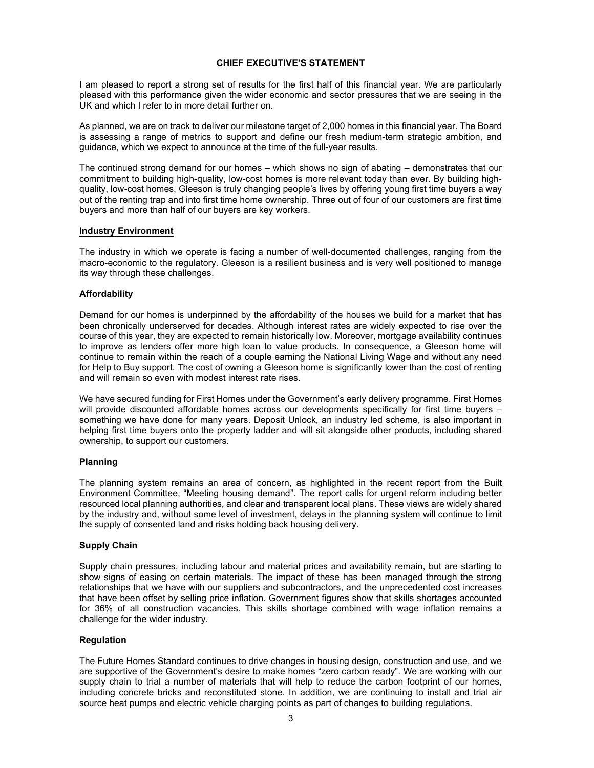## CHIEF EXECUTIVE'S STATEMENT

I am pleased to report a strong set of results for the first half of this financial year. We are particularly pleased with this performance given the wider economic and sector pressures that we are seeing in the UK and which I refer to in more detail further on.

As planned, we are on track to deliver our milestone target of 2,000 homes in this financial year. The Board is assessing a range of metrics to support and define our fresh medium-term strategic ambition, and guidance, which we expect to announce at the time of the full-year results.

The continued strong demand for our homes – which shows no sign of abating – demonstrates that our commitment to building high-quality, low-cost homes is more relevant today than ever. By building highquality, low-cost homes, Gleeson is truly changing people's lives by offering young first time buyers a way out of the renting trap and into first time home ownership. Three out of four of our customers are first time buyers and more than half of our buyers are key workers.

### Industry Environment

The industry in which we operate is facing a number of well-documented challenges, ranging from the macro-economic to the regulatory. Gleeson is a resilient business and is very well positioned to manage its way through these challenges.

## Affordability

Demand for our homes is underpinned by the affordability of the houses we build for a market that has been chronically underserved for decades. Although interest rates are widely expected to rise over the course of this year, they are expected to remain historically low. Moreover, mortgage availability continues to improve as lenders offer more high loan to value products. In consequence, a Gleeson home will continue to remain within the reach of a couple earning the National Living Wage and without any need for Help to Buy support. The cost of owning a Gleeson home is significantly lower than the cost of renting and will remain so even with modest interest rate rises.

We have secured funding for First Homes under the Government's early delivery programme. First Homes will provide discounted affordable homes across our developments specifically for first time buyers something we have done for many years. Deposit Unlock, an industry led scheme, is also important in helping first time buyers onto the property ladder and will sit alongside other products, including shared ownership, to support our customers.

# Planning

The planning system remains an area of concern, as highlighted in the recent report from the Built Environment Committee, "Meeting housing demand". The report calls for urgent reform including better resourced local planning authorities, and clear and transparent local plans. These views are widely shared by the industry and, without some level of investment, delays in the planning system will continue to limit the supply of consented land and risks holding back housing delivery.

### Supply Chain

Supply chain pressures, including labour and material prices and availability remain, but are starting to show signs of easing on certain materials. The impact of these has been managed through the strong relationships that we have with our suppliers and subcontractors, and the unprecedented cost increases that have been offset by selling price inflation. Government figures show that skills shortages accounted for 36% of all construction vacancies. This skills shortage combined with wage inflation remains a challenge for the wider industry.

# Regulation

The Future Homes Standard continues to drive changes in housing design, construction and use, and we are supportive of the Government's desire to make homes "zero carbon ready". We are working with our supply chain to trial a number of materials that will help to reduce the carbon footprint of our homes, including concrete bricks and reconstituted stone. In addition, we are continuing to install and trial air source heat pumps and electric vehicle charging points as part of changes to building regulations.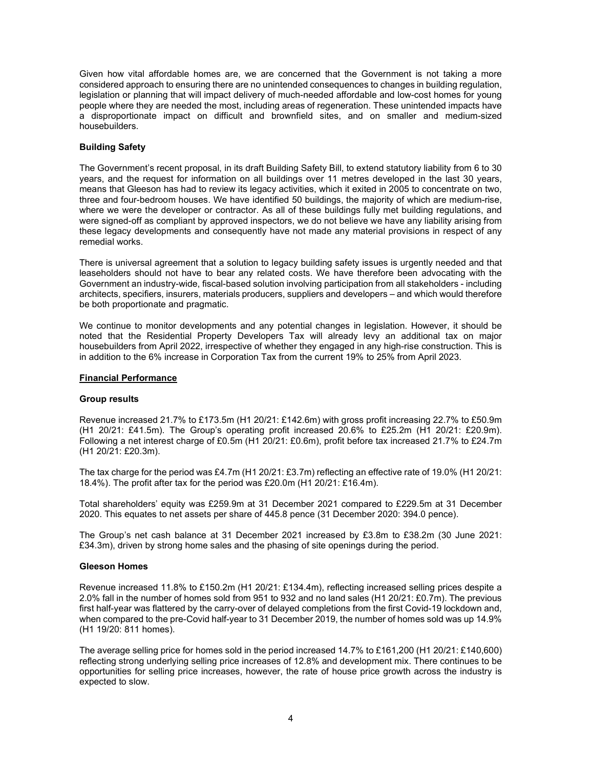Given how vital affordable homes are, we are concerned that the Government is not taking a more considered approach to ensuring there are no unintended consequences to changes in building regulation, legislation or planning that will impact delivery of much-needed affordable and low-cost homes for young people where they are needed the most, including areas of regeneration. These unintended impacts have a disproportionate impact on difficult and brownfield sites, and on smaller and medium-sized housebuilders.

## Building Safety

The Government's recent proposal, in its draft Building Safety Bill, to extend statutory liability from 6 to 30 years, and the request for information on all buildings over 11 metres developed in the last 30 years, means that Gleeson has had to review its legacy activities, which it exited in 2005 to concentrate on two, three and four-bedroom houses. We have identified 50 buildings, the majority of which are medium-rise, where we were the developer or contractor. As all of these buildings fully met building regulations, and were signed-off as compliant by approved inspectors, we do not believe we have any liability arising from these legacy developments and consequently have not made any material provisions in respect of any remedial works.

There is universal agreement that a solution to legacy building safety issues is urgently needed and that leaseholders should not have to bear any related costs. We have therefore been advocating with the Government an industry-wide, fiscal-based solution involving participation from all stakeholders - including architects, specifiers, insurers, materials producers, suppliers and developers – and which would therefore be both proportionate and pragmatic.

We continue to monitor developments and any potential changes in legislation. However, it should be noted that the Residential Property Developers Tax will already levy an additional tax on major housebuilders from April 2022, irrespective of whether they engaged in any high-rise construction. This is in addition to the 6% increase in Corporation Tax from the current 19% to 25% from April 2023.

### Financial Performance

### Group results

Revenue increased 21.7% to £173.5m (H1 20/21: £142.6m) with gross profit increasing 22.7% to £50.9m (H1 20/21: £41.5m). The Group's operating profit increased 20.6% to £25.2m (H1 20/21: £20.9m). Following a net interest charge of £0.5m (H1 20/21: £0.6m), profit before tax increased 21.7% to £24.7m (H1 20/21: £20.3m).

The tax charge for the period was £4.7m (H1 20/21: £3.7m) reflecting an effective rate of 19.0% (H1 20/21: 18.4%). The profit after tax for the period was £20.0m (H1 20/21: £16.4m).

Total shareholders' equity was £259.9m at 31 December 2021 compared to £229.5m at 31 December 2020. This equates to net assets per share of 445.8 pence (31 December 2020: 394.0 pence).

The Group's net cash balance at 31 December 2021 increased by £3.8m to £38.2m (30 June 2021: £34.3m), driven by strong home sales and the phasing of site openings during the period.

### Gleeson Homes

Revenue increased 11.8% to £150.2m (H1 20/21: £134.4m), reflecting increased selling prices despite a 2.0% fall in the number of homes sold from 951 to 932 and no land sales (H1 20/21: £0.7m). The previous first half-year was flattered by the carry-over of delayed completions from the first Covid-19 lockdown and, when compared to the pre-Covid half-year to 31 December 2019, the number of homes sold was up 14.9% (H1 19/20: 811 homes).

The average selling price for homes sold in the period increased 14.7% to £161,200 (H1 20/21: £140,600) reflecting strong underlying selling price increases of 12.8% and development mix. There continues to be opportunities for selling price increases, however, the rate of house price growth across the industry is expected to slow.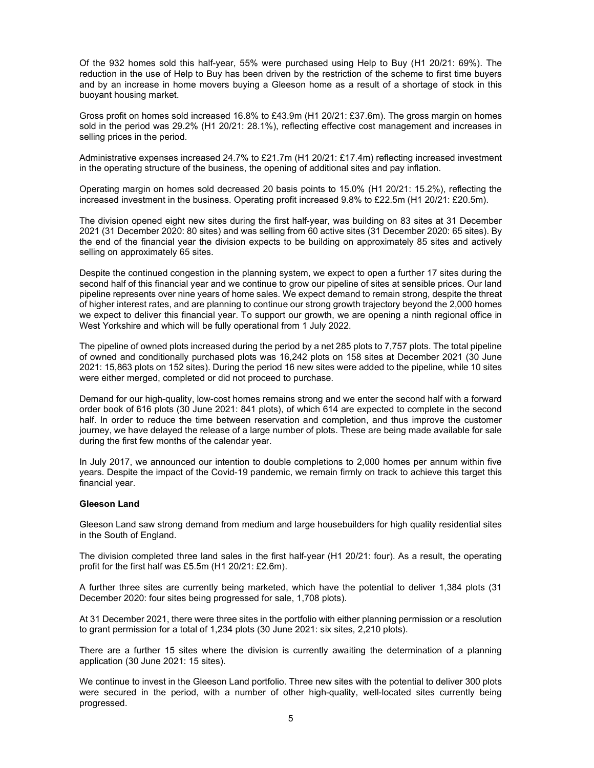Of the 932 homes sold this half-year, 55% were purchased using Help to Buy (H1 20/21: 69%). The reduction in the use of Help to Buy has been driven by the restriction of the scheme to first time buyers and by an increase in home movers buying a Gleeson home as a result of a shortage of stock in this buoyant housing market.

Gross profit on homes sold increased 16.8% to £43.9m (H1 20/21: £37.6m). The gross margin on homes sold in the period was 29.2% (H1 20/21: 28.1%), reflecting effective cost management and increases in selling prices in the period.

Administrative expenses increased 24.7% to £21.7m (H1 20/21: £17.4m) reflecting increased investment in the operating structure of the business, the opening of additional sites and pay inflation.

Operating margin on homes sold decreased 20 basis points to 15.0% (H1 20/21: 15.2%), reflecting the increased investment in the business. Operating profit increased 9.8% to £22.5m (H1 20/21: £20.5m).

The division opened eight new sites during the first half-year, was building on 83 sites at 31 December 2021 (31 December 2020: 80 sites) and was selling from 60 active sites (31 December 2020: 65 sites). By the end of the financial year the division expects to be building on approximately 85 sites and actively selling on approximately 65 sites.

Despite the continued congestion in the planning system, we expect to open a further 17 sites during the second half of this financial year and we continue to grow our pipeline of sites at sensible prices. Our land pipeline represents over nine years of home sales. We expect demand to remain strong, despite the threat of higher interest rates, and are planning to continue our strong growth trajectory beyond the 2,000 homes we expect to deliver this financial year. To support our growth, we are opening a ninth regional office in West Yorkshire and which will be fully operational from 1 July 2022.

The pipeline of owned plots increased during the period by a net 285 plots to 7,757 plots. The total pipeline of owned and conditionally purchased plots was 16,242 plots on 158 sites at December 2021 (30 June 2021: 15,863 plots on 152 sites). During the period 16 new sites were added to the pipeline, while 10 sites were either merged, completed or did not proceed to purchase.

Demand for our high-quality, low-cost homes remains strong and we enter the second half with a forward order book of 616 plots (30 June 2021: 841 plots), of which 614 are expected to complete in the second half. In order to reduce the time between reservation and completion, and thus improve the customer journey, we have delayed the release of a large number of plots. These are being made available for sale during the first few months of the calendar year.

In July 2017, we announced our intention to double completions to 2,000 homes per annum within five years. Despite the impact of the Covid-19 pandemic, we remain firmly on track to achieve this target this financial year.

### Gleeson Land

Gleeson Land saw strong demand from medium and large housebuilders for high quality residential sites in the South of England.

The division completed three land sales in the first half-year (H1 20/21: four). As a result, the operating profit for the first half was £5.5m (H1 20/21: £2.6m).

A further three sites are currently being marketed, which have the potential to deliver 1,384 plots (31 December 2020: four sites being progressed for sale, 1,708 plots).

At 31 December 2021, there were three sites in the portfolio with either planning permission or a resolution to grant permission for a total of 1,234 plots (30 June 2021: six sites, 2,210 plots).

There are a further 15 sites where the division is currently awaiting the determination of a planning application (30 June 2021: 15 sites).

We continue to invest in the Gleeson Land portfolio. Three new sites with the potential to deliver 300 plots were secured in the period, with a number of other high-quality, well-located sites currently being progressed.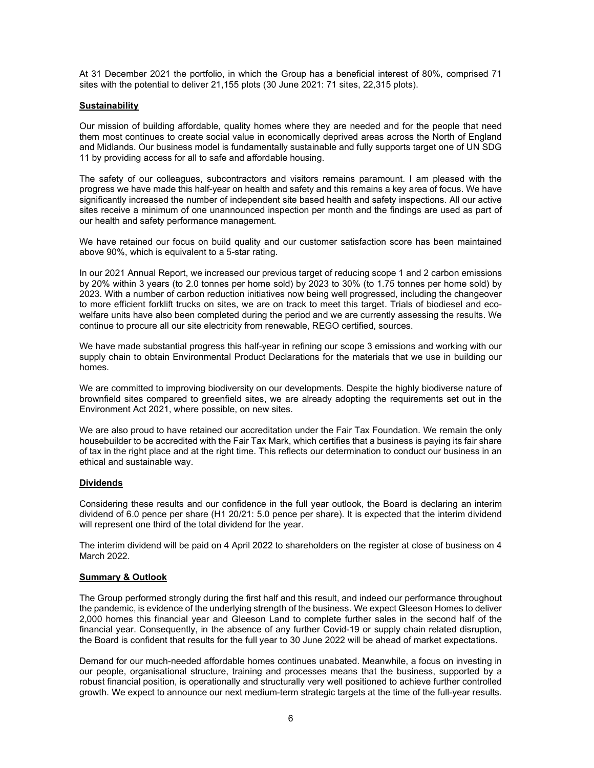At 31 December 2021 the portfolio, in which the Group has a beneficial interest of 80%, comprised 71 sites with the potential to deliver 21,155 plots (30 June 2021: 71 sites, 22,315 plots).

### **Sustainability**

Our mission of building affordable, quality homes where they are needed and for the people that need them most continues to create social value in economically deprived areas across the North of England and Midlands. Our business model is fundamentally sustainable and fully supports target one of UN SDG 11 by providing access for all to safe and affordable housing.

The safety of our colleagues, subcontractors and visitors remains paramount. I am pleased with the progress we have made this half-year on health and safety and this remains a key area of focus. We have significantly increased the number of independent site based health and safety inspections. All our active sites receive a minimum of one unannounced inspection per month and the findings are used as part of our health and safety performance management.

We have retained our focus on build quality and our customer satisfaction score has been maintained above 90%, which is equivalent to a 5-star rating.

In our 2021 Annual Report, we increased our previous target of reducing scope 1 and 2 carbon emissions by 20% within 3 years (to 2.0 tonnes per home sold) by 2023 to 30% (to 1.75 tonnes per home sold) by 2023. With a number of carbon reduction initiatives now being well progressed, including the changeover to more efficient forklift trucks on sites, we are on track to meet this target. Trials of biodiesel and ecowelfare units have also been completed during the period and we are currently assessing the results. We continue to procure all our site electricity from renewable, REGO certified, sources.

We have made substantial progress this half-year in refining our scope 3 emissions and working with our supply chain to obtain Environmental Product Declarations for the materials that we use in building our homes.

We are committed to improving biodiversity on our developments. Despite the highly biodiverse nature of brownfield sites compared to greenfield sites, we are already adopting the requirements set out in the Environment Act 2021, where possible, on new sites.

We are also proud to have retained our accreditation under the Fair Tax Foundation. We remain the only housebuilder to be accredited with the Fair Tax Mark, which certifies that a business is paying its fair share of tax in the right place and at the right time. This reflects our determination to conduct our business in an ethical and sustainable way.

### Dividends

Considering these results and our confidence in the full year outlook, the Board is declaring an interim dividend of 6.0 pence per share (H1 20/21: 5.0 pence per share). It is expected that the interim dividend will represent one third of the total dividend for the year.

The interim dividend will be paid on 4 April 2022 to shareholders on the register at close of business on 4 March 2022.

### Summary & Outlook

The Group performed strongly during the first half and this result, and indeed our performance throughout the pandemic, is evidence of the underlying strength of the business. We expect Gleeson Homes to deliver 2,000 homes this financial year and Gleeson Land to complete further sales in the second half of the financial year. Consequently, in the absence of any further Covid-19 or supply chain related disruption, the Board is confident that results for the full year to 30 June 2022 will be ahead of market expectations.

Demand for our much-needed affordable homes continues unabated. Meanwhile, a focus on investing in our people, organisational structure, training and processes means that the business, supported by a robust financial position, is operationally and structurally very well positioned to achieve further controlled growth. We expect to announce our next medium-term strategic targets at the time of the full-year results.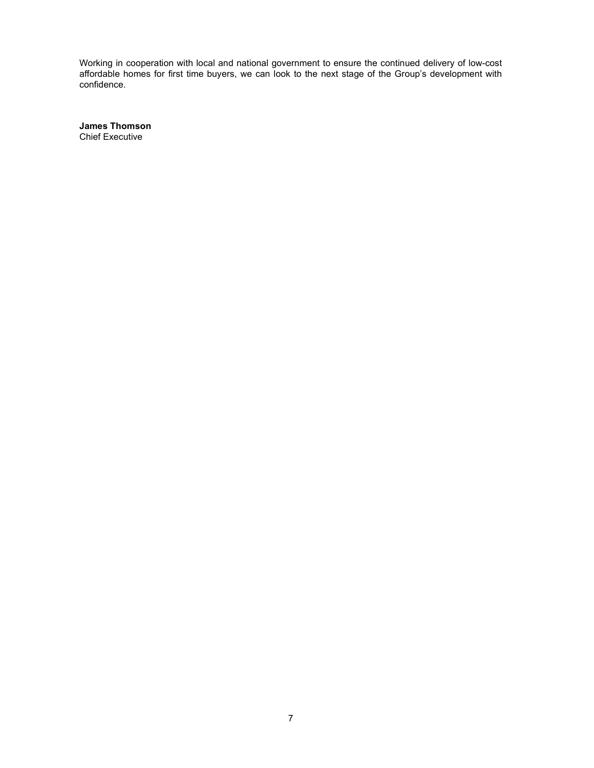Working in cooperation with local and national government to ensure the continued delivery of low-cost affordable homes for first time buyers, we can look to the next stage of the Group's development with confidence.

James Thomson Chief Executive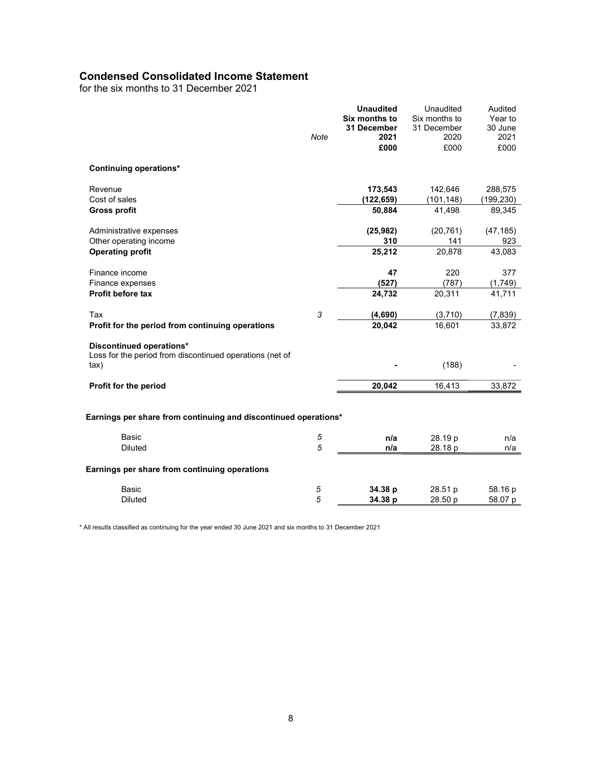# Condensed Consolidated Income Statement

for the six months to 31 December 2021

|                                                                  |             | <b>Unaudited</b><br>Six months to | Unaudited<br>Six months to | Audited<br>Year to |
|------------------------------------------------------------------|-------------|-----------------------------------|----------------------------|--------------------|
|                                                                  | <b>Note</b> | 31 December<br>2021               | 31 December<br>2020        | 30 June<br>2021    |
|                                                                  |             | £000                              | £000                       | £000               |
| <b>Continuing operations*</b>                                    |             |                                   |                            |                    |
| Revenue                                                          |             | 173,543                           | 142,646                    | 288,575            |
| Cost of sales                                                    |             | (122, 659)                        | (101, 148)                 | (199, 230)         |
| <b>Gross profit</b>                                              |             | 50,884                            | 41,498                     | 89,345             |
| Administrative expenses                                          |             | (25, 982)                         | (20, 761)                  | (47, 185)          |
| Other operating income                                           |             | 310                               | 141                        | 923                |
| <b>Operating profit</b>                                          |             | 25,212                            | 20,878                     | 43,083             |
| Finance income                                                   |             | 47                                | 220                        | 377                |
| Finance expenses                                                 |             | (527)                             | (787)                      | (1,749)            |
| Profit before tax                                                |             | 24,732                            | 20,311                     | 41,711             |
| Tax                                                              | 3           | (4,690)                           | (3,710)                    | (7, 839)           |
| Profit for the period from continuing operations                 |             | 20,042                            | 16,601                     | 33,872             |
| Discontinued operations*                                         |             |                                   |                            |                    |
| Loss for the period from discontinued operations (net of<br>tax) |             |                                   | (188)                      |                    |
|                                                                  |             |                                   |                            |                    |
| Profit for the period                                            |             | 20,042                            | 16,413                     | 33,872             |
| Earnings per share from continuing and discontinued operations*  |             |                                   |                            |                    |
| <b>Basic</b>                                                     | 5           | n/a                               | 28.19 p                    | n/a                |
| <b>Diluted</b>                                                   | 5           | n/a                               | 28.18 p                    | n/a                |
| Earnings per share from continuing operations                    |             |                                   |                            |                    |
| <b>Basic</b>                                                     | 5           | 34.38 p                           | 28.51 p                    | 58.16 p            |
| <b>Diluted</b>                                                   | 5           | 34.38 p                           | 28.50 p                    | 58.07 p            |

\* All results classified as continuing for the year ended 30 June 2021 and six months to 31 December 2021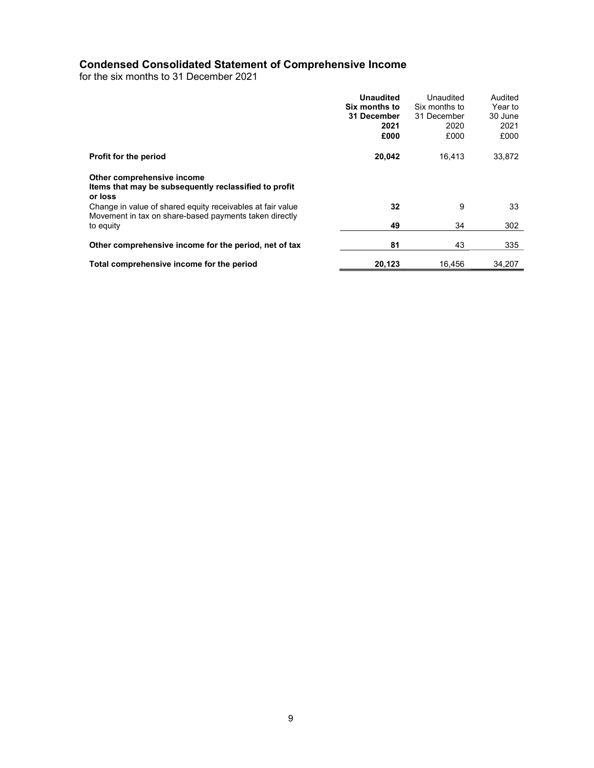# Condensed Consolidated Statement of Comprehensive Income

for the six months to 31 December 2021

|                                                                                                                                   | <b>Unaudited</b><br>Six months to<br>31 December<br>2021<br>£000 | Unaudited<br>Six months to<br>31 December<br>2020<br>£000 | Audited<br>Year to<br>30 June<br>2021<br>£000 |
|-----------------------------------------------------------------------------------------------------------------------------------|------------------------------------------------------------------|-----------------------------------------------------------|-----------------------------------------------|
| Profit for the period                                                                                                             | 20,042                                                           | 16.413                                                    | 33,872                                        |
| Other comprehensive income<br>Items that may be subsequently reclassified to profit<br>or loss                                    |                                                                  |                                                           |                                               |
| Change in value of shared equity receivables at fair value<br>Movement in tax on share-based payments taken directly<br>to equity | 32<br>49                                                         | 9<br>34                                                   | 33<br>302                                     |
|                                                                                                                                   |                                                                  |                                                           |                                               |
| Other comprehensive income for the period, net of tax                                                                             | 81                                                               | 43                                                        | 335                                           |
| Total comprehensive income for the period                                                                                         | 20,123                                                           | 16.456                                                    | 34,207                                        |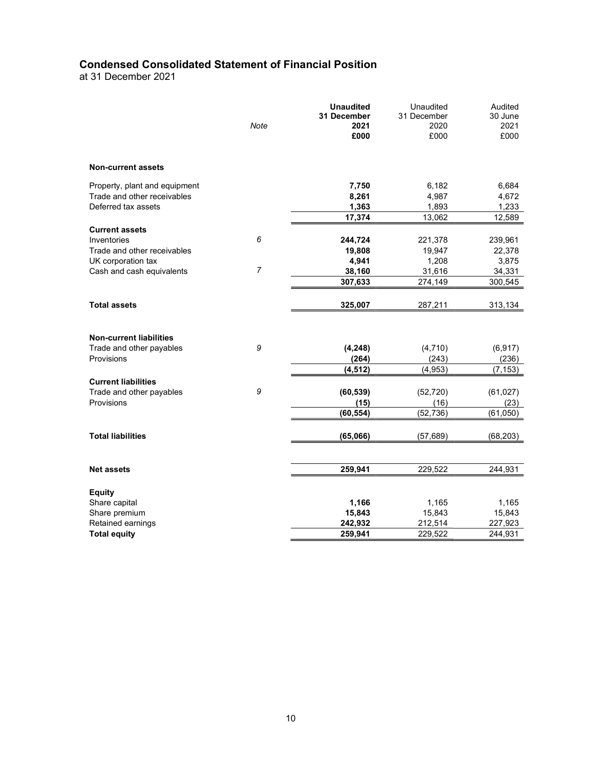# Condensed Consolidated Statement of Financial Position

at 31 December 2021

|                                | Note           | <b>Unaudited</b><br>31 December<br>2021<br>£000 | Unaudited<br>31 December<br>2020<br>£000 | Audited<br>30 June<br>2021<br>£000 |
|--------------------------------|----------------|-------------------------------------------------|------------------------------------------|------------------------------------|
| <b>Non-current assets</b>      |                |                                                 |                                          |                                    |
| Property, plant and equipment  |                | 7,750                                           | 6,182                                    | 6,684                              |
| Trade and other receivables    |                | 8,261                                           | 4,987                                    | 4,672                              |
| Deferred tax assets            |                | 1,363                                           | 1,893                                    | 1,233                              |
|                                |                | 17,374                                          | 13,062                                   | 12,589                             |
| <b>Current assets</b>          |                |                                                 |                                          |                                    |
| Inventories                    | 6              | 244,724                                         | 221,378                                  | 239,961                            |
| Trade and other receivables    |                | 19,808                                          | 19,947                                   | 22,378                             |
| UK corporation tax             |                | 4,941                                           | 1,208                                    | 3,875                              |
| Cash and cash equivalents      | $\overline{7}$ | 38,160                                          | 31,616                                   | 34,331                             |
|                                |                | 307,633                                         | 274,149                                  | 300,545                            |
| <b>Total assets</b>            |                | 325,007                                         | 287,211                                  | 313,134                            |
|                                |                |                                                 |                                          |                                    |
| <b>Non-current liabilities</b> |                |                                                 |                                          |                                    |
| Trade and other payables       | 9              | (4, 248)                                        | (4,710)                                  |                                    |
| Provisions                     |                | (264)                                           | (243)                                    | (6, 917)<br>(236)                  |
|                                |                | (4, 512)                                        | (4.953)                                  | (7, 153)                           |
| <b>Current liabilities</b>     |                |                                                 |                                          |                                    |
| Trade and other payables       | 9              | (60, 539)                                       | (52, 720)                                | (61, 027)                          |
| Provisions                     |                | (15)                                            | (16)                                     | (23)                               |
|                                |                | (60, 554)                                       | (52, 736)                                | (61,050)                           |
|                                |                |                                                 |                                          |                                    |
| <b>Total liabilities</b>       |                | (65,066)                                        | (57, 689)                                | (68,203)                           |
|                                |                |                                                 |                                          |                                    |
| <b>Net assets</b>              |                | 259,941                                         | 229,522                                  | 244,931                            |
|                                |                |                                                 |                                          |                                    |
| <b>Equity</b><br>Share capital |                | 1,166                                           | 1,165                                    | 1,165                              |
| Share premium                  |                | 15,843                                          | 15,843                                   | 15,843                             |
| Retained earnings              |                | 242,932                                         | 212,514                                  | 227,923                            |
| <b>Total equity</b>            |                | 259,941                                         | 229,522                                  | 244,931                            |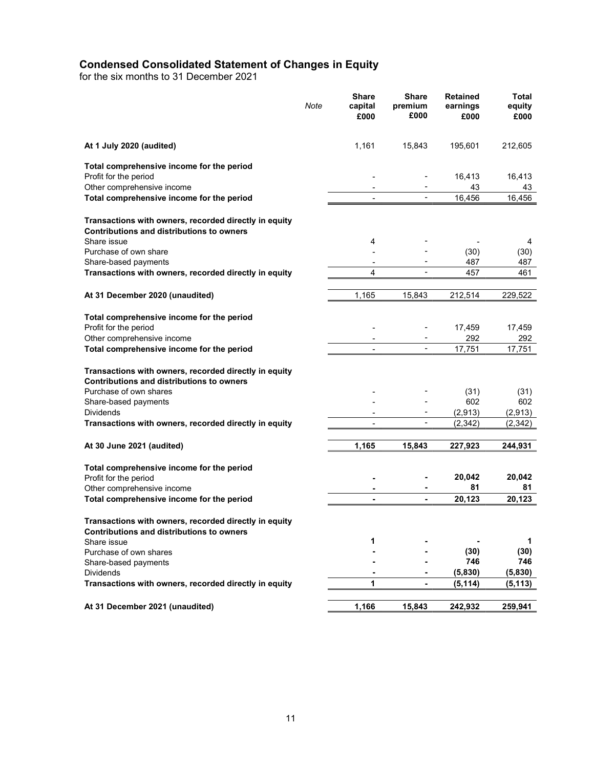# Condensed Consolidated Statement of Changes in Equity

for the six months to 31 December 2021

|                                                                                                                                                             | Note | <b>Share</b><br>capital<br>£000 | <b>Share</b><br>premium<br>£000 | <b>Retained</b><br>earnings<br>£000 | Total<br>equity<br>£000 |
|-------------------------------------------------------------------------------------------------------------------------------------------------------------|------|---------------------------------|---------------------------------|-------------------------------------|-------------------------|
| At 1 July 2020 (audited)                                                                                                                                    |      | 1,161                           | 15,843                          | 195,601                             | 212,605                 |
| Total comprehensive income for the period                                                                                                                   |      |                                 |                                 |                                     |                         |
| Profit for the period                                                                                                                                       |      |                                 |                                 | 16,413                              | 16,413                  |
| Other comprehensive income                                                                                                                                  |      |                                 |                                 | 43                                  | 43                      |
| Total comprehensive income for the period                                                                                                                   |      |                                 |                                 | 16.456                              | 16,456                  |
| Transactions with owners, recorded directly in equity<br><b>Contributions and distributions to owners</b>                                                   |      |                                 |                                 |                                     |                         |
| Share issue                                                                                                                                                 |      | 4                               |                                 |                                     | 4                       |
| Purchase of own share<br>Share-based payments                                                                                                               |      |                                 |                                 | (30)<br>487                         | (30)<br>487             |
| Transactions with owners, recorded directly in equity                                                                                                       |      | 4                               |                                 | 457                                 | 461                     |
|                                                                                                                                                             |      |                                 |                                 |                                     |                         |
| At 31 December 2020 (unaudited)                                                                                                                             |      | 1,165                           | 15,843                          | 212,514                             | 229,522                 |
| Total comprehensive income for the period<br>Profit for the period                                                                                          |      |                                 |                                 | 17,459                              | 17,459                  |
| Other comprehensive income                                                                                                                                  |      | $\overline{\phantom{a}}$        |                                 | 292                                 | 292                     |
| Total comprehensive income for the period                                                                                                                   |      |                                 | ÷,                              | 17,751                              | 17,751                  |
| Transactions with owners, recorded directly in equity<br><b>Contributions and distributions to owners</b><br>Purchase of own shares<br>Share-based payments |      |                                 |                                 | (31)<br>602                         | (31)<br>602             |
| <b>Dividends</b>                                                                                                                                            |      |                                 |                                 | (2,913)                             | (2,913)                 |
| Transactions with owners, recorded directly in equity                                                                                                       |      |                                 |                                 | (2, 342)                            | (2, 342)                |
| At 30 June 2021 (audited)                                                                                                                                   |      | 1,165                           | 15,843                          | 227,923                             | 244,931                 |
| Total comprehensive income for the period<br>Profit for the period                                                                                          |      |                                 |                                 | 20,042                              | 20,042                  |
| Other comprehensive income                                                                                                                                  |      |                                 |                                 | 81                                  | 81                      |
| Total comprehensive income for the period                                                                                                                   |      | $\blacksquare$                  |                                 | 20,123                              | 20,123                  |
| Transactions with owners, recorded directly in equity<br>Contributions and distributions to owners                                                          |      |                                 |                                 |                                     |                         |
| Share issue                                                                                                                                                 |      | 1                               |                                 |                                     | 1                       |
| Purchase of own shares                                                                                                                                      |      |                                 |                                 | (30)                                | (30)                    |
| Share-based payments                                                                                                                                        |      |                                 |                                 | 746                                 | 746                     |
| <b>Dividends</b>                                                                                                                                            |      |                                 |                                 | (5,830)                             | (5,830)                 |
| Transactions with owners, recorded directly in equity                                                                                                       |      | 1                               | $\blacksquare$                  | (5, 114)                            | (5, 113)                |
| At 31 December 2021 (unaudited)                                                                                                                             |      | 1,166                           | 15,843                          | 242,932                             | 259,941                 |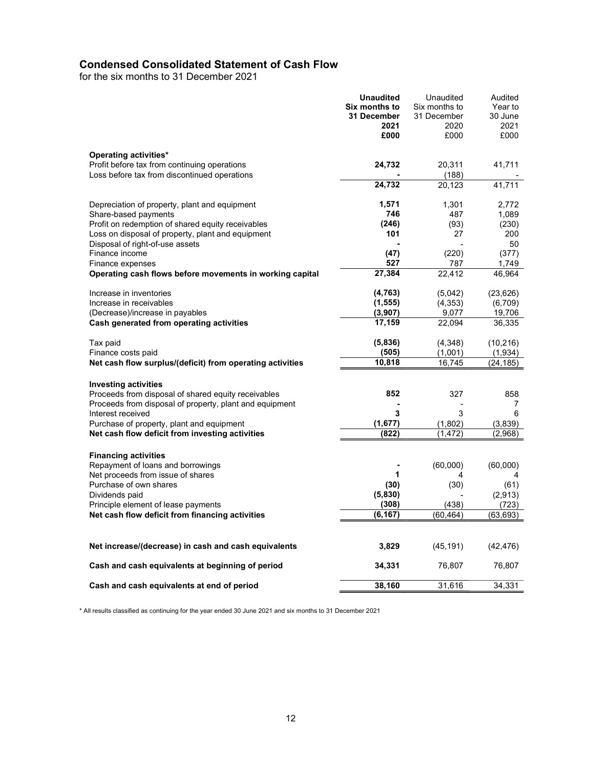# Condensed Consolidated Statement of Cash Flow

for the six months to 31 December 2021

|                                                                                                                                               | <b>Unaudited</b><br>Six months to<br>31 December<br>2021<br>£000 | Unaudited<br>Six months to<br>31 December<br>2020<br>£000 | Audited<br>Year to<br>30 June<br>2021<br>£000 |
|-----------------------------------------------------------------------------------------------------------------------------------------------|------------------------------------------------------------------|-----------------------------------------------------------|-----------------------------------------------|
| Operating activities*<br>Profit before tax from continuing operations<br>Loss before tax from discontinued operations                         | 24,732                                                           | 20,311<br>(188)                                           | 41,711                                        |
|                                                                                                                                               | 24,732                                                           | 20,123                                                    | 41,711                                        |
| Depreciation of property, plant and equipment<br>Share-based payments                                                                         | 1,571<br>746                                                     | 1,301<br>487                                              | 2.772<br>1,089                                |
| Profit on redemption of shared equity receivables<br>Loss on disposal of property, plant and equipment<br>Disposal of right-of-use assets     | (246)<br>101                                                     | (93)<br>27                                                | (230)<br>200<br>50                            |
| Finance income<br>Finance expenses                                                                                                            | (47)<br>527                                                      | (220)<br>787                                              | (377)<br>1,749                                |
| Operating cash flows before movements in working capital                                                                                      | 27,384                                                           | 22,412                                                    | 46,964                                        |
| Increase in inventories<br>Increase in receivables                                                                                            | (4, 763)<br>(1, 555)                                             | (5,042)<br>(4, 353)                                       | (23, 626)<br>(6,709)                          |
| (Decrease)/increase in payables<br>Cash generated from operating activities                                                                   | (3,907)<br>17,159                                                | 9,077<br>22,094                                           | 19,706<br>36,335                              |
| Tax paid<br>Finance costs paid                                                                                                                | (5,836)<br>(505)                                                 | (4,348)<br>(1,001)                                        | (10, 216)<br>(1,934)                          |
| Net cash flow surplus/(deficit) from operating activities                                                                                     | 10,818                                                           | 16,745                                                    | (24,185)                                      |
| <b>Investing activities</b><br>Proceeds from disposal of shared equity receivables<br>Proceeds from disposal of property, plant and equipment | 852                                                              | 327                                                       | 858<br>7                                      |
| Interest received<br>Purchase of property, plant and equipment                                                                                | 3<br>(1,677)                                                     | 3<br>(1,802)                                              | 6<br>(3,839)                                  |
| Net cash flow deficit from investing activities                                                                                               | (822)                                                            | (1, 472)                                                  | (2,968)                                       |
| <b>Financing activities</b><br>Repayment of loans and borrowings                                                                              |                                                                  | (60,000)                                                  | (60,000)                                      |
| Net proceeds from issue of shares<br>Purchase of own shares                                                                                   | 1<br>(30)                                                        | (30)                                                      | 4<br>(61)                                     |
| Dividends paid<br>Principle element of lease payments                                                                                         | (5,830)<br>(308)                                                 | (438)                                                     | (2,913)<br>(723)                              |
| Net cash flow deficit from financing activities                                                                                               | (6, 167)                                                         | (60, 464)                                                 | (63,693)                                      |
| Net increase/(decrease) in cash and cash equivalents                                                                                          | 3,829                                                            | (45, 191)                                                 | (42, 476)                                     |
| Cash and cash equivalents at beginning of period                                                                                              | 34,331                                                           | 76,807                                                    | 76,807                                        |
| Cash and cash equivalents at end of period                                                                                                    | 38,160                                                           | 31,616                                                    | 34,331                                        |

\* All results classified as continuing for the year ended 30 June 2021 and six months to 31 December 2021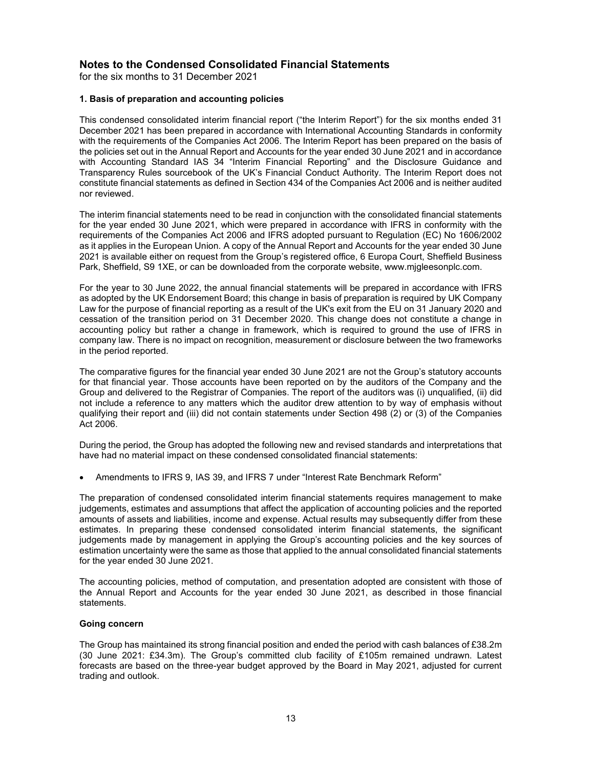# Notes to the Condensed Consolidated Financial Statements

for the six months to 31 December 2021

## 1. Basis of preparation and accounting policies

This condensed consolidated interim financial report ("the Interim Report") for the six months ended 31 December 2021 has been prepared in accordance with International Accounting Standards in conformity with the requirements of the Companies Act 2006. The Interim Report has been prepared on the basis of the policies set out in the Annual Report and Accounts for the year ended 30 June 2021 and in accordance with Accounting Standard IAS 34 "Interim Financial Reporting" and the Disclosure Guidance and Transparency Rules sourcebook of the UK's Financial Conduct Authority. The Interim Report does not constitute financial statements as defined in Section 434 of the Companies Act 2006 and is neither audited nor reviewed.

The interim financial statements need to be read in conjunction with the consolidated financial statements for the year ended 30 June 2021, which were prepared in accordance with IFRS in conformity with the requirements of the Companies Act 2006 and IFRS adopted pursuant to Regulation (EC) No 1606/2002 as it applies in the European Union. A copy of the Annual Report and Accounts for the year ended 30 June 2021 is available either on request from the Group's registered office, 6 Europa Court, Sheffield Business Park, Sheffield, S9 1XE, or can be downloaded from the corporate website, www.mjgleesonplc.com.

For the year to 30 June 2022, the annual financial statements will be prepared in accordance with IFRS as adopted by the UK Endorsement Board; this change in basis of preparation is required by UK Company Law for the purpose of financial reporting as a result of the UK's exit from the EU on 31 January 2020 and cessation of the transition period on 31 December 2020. This change does not constitute a change in accounting policy but rather a change in framework, which is required to ground the use of IFRS in company law. There is no impact on recognition, measurement or disclosure between the two frameworks in the period reported.

The comparative figures for the financial year ended 30 June 2021 are not the Group's statutory accounts for that financial year. Those accounts have been reported on by the auditors of the Company and the Group and delivered to the Registrar of Companies. The report of the auditors was (i) unqualified, (ii) did not include a reference to any matters which the auditor drew attention to by way of emphasis without qualifying their report and (iii) did not contain statements under Section 498 (2) or (3) of the Companies Act 2006.

During the period, the Group has adopted the following new and revised standards and interpretations that have had no material impact on these condensed consolidated financial statements:

Amendments to IFRS 9, IAS 39, and IFRS 7 under "Interest Rate Benchmark Reform"

The preparation of condensed consolidated interim financial statements requires management to make judgements, estimates and assumptions that affect the application of accounting policies and the reported amounts of assets and liabilities, income and expense. Actual results may subsequently differ from these estimates. In preparing these condensed consolidated interim financial statements, the significant judgements made by management in applying the Group's accounting policies and the key sources of estimation uncertainty were the same as those that applied to the annual consolidated financial statements for the year ended 30 June 2021.

The accounting policies, method of computation, and presentation adopted are consistent with those of the Annual Report and Accounts for the year ended 30 June 2021, as described in those financial statements.

### Going concern

The Group has maintained its strong financial position and ended the period with cash balances of £38.2m (30 June 2021: £34.3m). The Group's committed club facility of £105m remained undrawn. Latest forecasts are based on the three-year budget approved by the Board in May 2021, adjusted for current trading and outlook.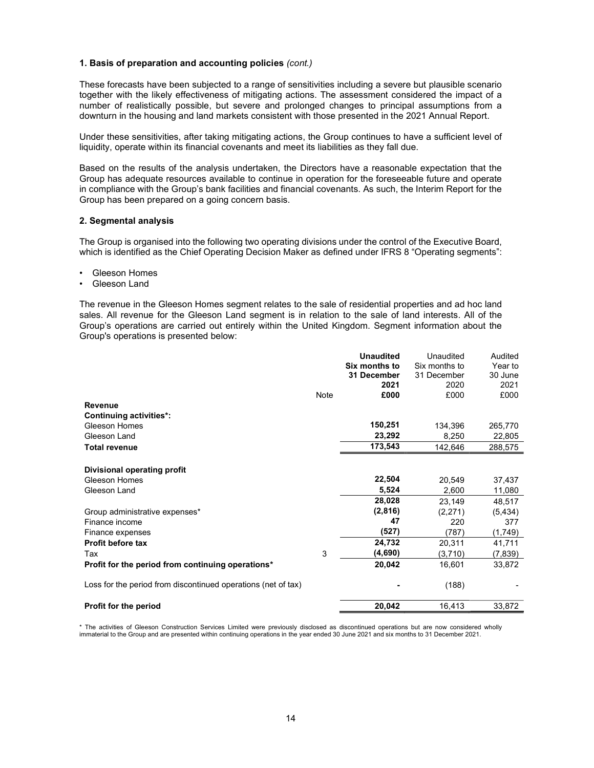### 1. Basis of preparation and accounting policies (cont.)

These forecasts have been subjected to a range of sensitivities including a severe but plausible scenario together with the likely effectiveness of mitigating actions. The assessment considered the impact of a number of realistically possible, but severe and prolonged changes to principal assumptions from a downturn in the housing and land markets consistent with those presented in the 2021 Annual Report.

Under these sensitivities, after taking mitigating actions, the Group continues to have a sufficient level of liquidity, operate within its financial covenants and meet its liabilities as they fall due.

Based on the results of the analysis undertaken, the Directors have a reasonable expectation that the Group has adequate resources available to continue in operation for the foreseeable future and operate in compliance with the Group's bank facilities and financial covenants. As such, the Interim Report for the Group has been prepared on a going concern basis.

#### 2. Segmental analysis

The Group is organised into the following two operating divisions under the control of the Executive Board, which is identified as the Chief Operating Decision Maker as defined under IFRS 8 "Operating segments":

- Gleeson Homes
- Gleeson Land

The revenue in the Gleeson Homes segment relates to the sale of residential properties and ad hoc land sales. All revenue for the Gleeson Land segment is in relation to the sale of land interests. All of the Group's operations are carried out entirely within the United Kingdom. Segment information about the Group's operations is presented below:

|                                                               |      | <b>Unaudited</b> | Unaudited      | Audited  |
|---------------------------------------------------------------|------|------------------|----------------|----------|
|                                                               |      | Six months to    | Six months to  | Year to  |
|                                                               |      | 31 December      | 31 December    | 30 June  |
|                                                               |      | 2021             | 2020           | 2021     |
|                                                               | Note | £000             | £000           | £000     |
| <b>Revenue</b>                                                |      |                  |                |          |
| <b>Continuing activities*:</b>                                |      |                  |                |          |
| <b>Gleeson Homes</b>                                          |      | 150,251          | 134,396        | 265,770  |
| Gleeson Land                                                  |      | 23,292           | 8,250          | 22,805   |
| <b>Total revenue</b>                                          |      | 173,543          | 142,646        | 288,575  |
| Divisional operating profit                                   |      |                  |                |          |
| Gleeson Homes                                                 |      | 22,504           | 20,549         | 37,437   |
| Gleeson Land                                                  |      | 5,524            | 2,600          | 11,080   |
|                                                               |      | 28,028           | 23,149         | 48,517   |
|                                                               |      | (2,816)          |                |          |
| Group administrative expenses*<br>Finance income              |      | 47               | (2,271)<br>220 | (5, 434) |
|                                                               |      |                  |                | 377      |
| Finance expenses                                              |      | (527)            | (787)          | (1,749)  |
| Profit before tax                                             |      | 24,732           | 20,311         | 41,711   |
| Tax                                                           | 3    | (4,690)          | (3,710)        | (7, 839) |
| Profit for the period from continuing operations*             |      | 20,042           | 16,601         | 33,872   |
| Loss for the period from discontinued operations (net of tax) |      |                  | (188)          |          |
| Profit for the period                                         |      | 20,042           | 16,413         | 33,872   |

\* The activities of Gleeson Construction Services Limited were previously disclosed as discontinued operations but are now considered wholly immaterial to the Group and are presented within continuing operations in the year ended 30 June 2021 and six months to 31 December 2021.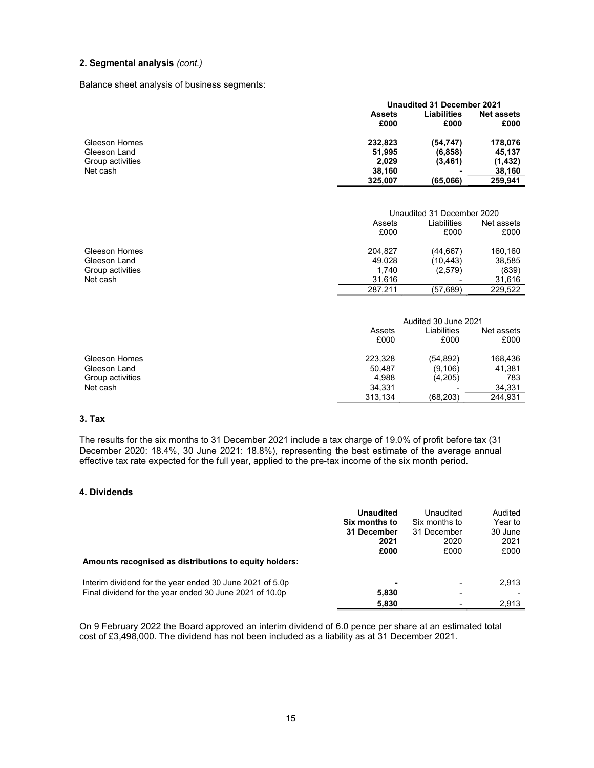## 2. Segmental analysis (cont.)

Balance sheet analysis of business segments:

|                  | Unaudited 31 December 2021 |             |                   |  |
|------------------|----------------------------|-------------|-------------------|--|
|                  | <b>Assets</b>              | Liabilities | <b>Net assets</b> |  |
|                  | £000                       | £000        | £000              |  |
| Gleeson Homes    | 232,823                    | (54, 747)   | 178,076           |  |
| Gleeson Land     | 51,995                     | (6, 858)    | 45,137            |  |
| Group activities | 2,029                      | (3, 461)    | (1, 432)          |  |
| Net cash         | 38,160                     |             | 38,160            |  |
|                  | 325.007                    | (65,066)    | 259.941           |  |

|                  |         | Unaudited 31 December 2020 |            |  |
|------------------|---------|----------------------------|------------|--|
|                  | Assets  | Liabilities                | Net assets |  |
|                  | £000    | £000                       | £000       |  |
| Gleeson Homes    | 204.827 | (44, 667)                  | 160.160    |  |
| Gleeson Land     | 49.028  | (10, 443)                  | 38,585     |  |
| Group activities | 1.740   | (2,579)                    | (839)      |  |
| Net cash         | 31.616  | ۰                          | 31.616     |  |
|                  | 287.211 | (57, 689)                  | 229.522    |  |

|                  |         | Audited 30 June 2021 |            |  |  |
|------------------|---------|----------------------|------------|--|--|
|                  | Assets  | Liabilities          | Net assets |  |  |
|                  | £000    | £000                 | £000       |  |  |
| Gleeson Homes    | 223,328 | (54, 892)            | 168,436    |  |  |
| Gleeson Land     | 50,487  | (9, 106)             | 41,381     |  |  |
| Group activities | 4.988   | (4,205)              | 783        |  |  |
| Net cash         | 34,331  |                      | 34.331     |  |  |
|                  | 313,134 | (68, 203)            | 244.931    |  |  |

# 3. Tax

The results for the six months to 31 December 2021 include a tax charge of 19.0% of profit before tax (31 December 2020: 18.4%, 30 June 2021: 18.8%), representing the best estimate of the average annual effective tax rate expected for the full year, applied to the pre-tax income of the six month period.

## 4. Dividends

| Amounts recognised as distributions to equity holders:                                                              | <b>Unaudited</b><br>Six months to<br>31 December<br>2021<br>£000 | Unaudited<br>Six months to<br>31 December<br>2020<br>£000 | Audited<br>Year to<br>30 June<br>2021<br>£000 |
|---------------------------------------------------------------------------------------------------------------------|------------------------------------------------------------------|-----------------------------------------------------------|-----------------------------------------------|
| Interim dividend for the year ended 30 June 2021 of 5.0p<br>Final dividend for the year ended 30 June 2021 of 10.0p | 5,830                                                            | -                                                         | 2,913                                         |
|                                                                                                                     | 5,830                                                            |                                                           | 2,913                                         |

On 9 February 2022 the Board approved an interim dividend of 6.0 pence per share at an estimated total cost of £3,498,000. The dividend has not been included as a liability as at 31 December 2021.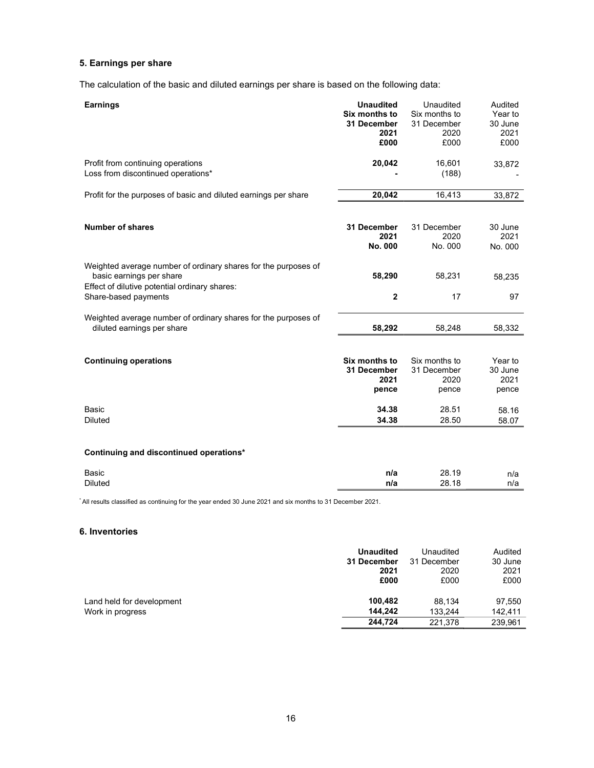# 5. Earnings per share

The calculation of the basic and diluted earnings per share is based on the following data:

| <b>Earnings</b>                                                                                                                                                     | <b>Unaudited</b><br>Six months to<br>31 December<br>2021<br>£000 | Unaudited<br>Six months to<br>31 December<br>2020<br>£000 | Audited<br>Year to<br>30 June<br>2021<br>£000 |
|---------------------------------------------------------------------------------------------------------------------------------------------------------------------|------------------------------------------------------------------|-----------------------------------------------------------|-----------------------------------------------|
| Profit from continuing operations<br>Loss from discontinued operations*                                                                                             | 20,042                                                           | 16,601<br>(188)                                           | 33,872                                        |
| Profit for the purposes of basic and diluted earnings per share                                                                                                     | 20,042                                                           | 16,413                                                    | 33,872                                        |
| Number of shares                                                                                                                                                    | 31 December<br>2021<br>No. 000                                   | 31 December<br>2020<br>No. 000                            | 30 June<br>2021<br>No. 000                    |
| Weighted average number of ordinary shares for the purposes of<br>basic earnings per share<br>Effect of dilutive potential ordinary shares:<br>Share-based payments | 58,290<br>$\overline{2}$                                         | 58,231<br>17                                              | 58,235<br>97                                  |
| Weighted average number of ordinary shares for the purposes of<br>diluted earnings per share                                                                        | 58,292                                                           | 58,248                                                    | 58,332                                        |
|                                                                                                                                                                     |                                                                  |                                                           |                                               |
| <b>Continuing operations</b>                                                                                                                                        | Six months to<br>31 December<br>2021<br>pence                    | Six months to<br>31 December<br>2020<br>pence             | Year to<br>30 June<br>2021<br>pence           |
| Basic                                                                                                                                                               | 34.38                                                            | 28.51                                                     | 58.16                                         |
| <b>Diluted</b>                                                                                                                                                      | 34.38                                                            | 28.50                                                     | 58.07                                         |
| Continuing and discontinued operations*                                                                                                                             |                                                                  |                                                           |                                               |
| Basic                                                                                                                                                               | n/a                                                              | 28.19                                                     | n/a                                           |
| <b>Diluted</b>                                                                                                                                                      | n/a                                                              | 28.18                                                     | n/a                                           |

# 6. Inventories

|                           | <b>Unaudited</b> | Unaudited   | Audited |
|---------------------------|------------------|-------------|---------|
|                           | 31 December      | 31 December | 30 June |
|                           | 2021             | 2020        | 2021    |
|                           | £000             | £000        | £000    |
| Land held for development | 100,482          | 88.134      | 97,550  |
|                           | 144.242          | 133.244     | 142.411 |
| Work in progress          | 244.724          | 221.378     | 239,961 |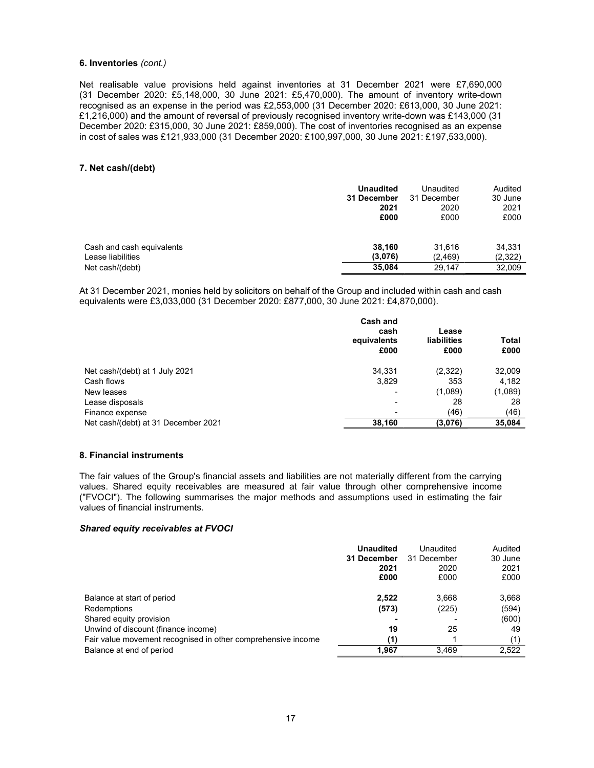### 6. Inventories (cont.)

Net realisable value provisions held against inventories at 31 December 2021 were £7,690,000 (31 December 2020: £5,148,000, 30 June 2021: £5,470,000). The amount of inventory write-down recognised as an expense in the period was £2,553,000 (31 December 2020: £613,000, 30 June 2021: £1,216,000) and the amount of reversal of previously recognised inventory write-down was £143,000 (31 December 2020: £315,000, 30 June 2021: £859,000). The cost of inventories recognised as an expense in cost of sales was £121,933,000 (31 December 2020: £100,997,000, 30 June 2021: £197,533,000).

### 7. Net cash/(debt)

|                           | <b>Unaudited</b> | Unaudited   | Audited |
|---------------------------|------------------|-------------|---------|
|                           | 31 December      | 31 December | 30 June |
|                           | 2021             | 2020        | 2021    |
|                           | £000             | £000        | £000    |
| Cash and cash equivalents | 38.160           | 31,616      | 34,331  |
| Lease liabilities         | (3,076)          | (2,469)     | (2,322) |
| Net cash/(debt)           | 35,084           | 29,147      | 32,009  |

At 31 December 2021, monies held by solicitors on behalf of the Group and included within cash and cash equivalents were £3,033,000 (31 December 2020: £877,000, 30 June 2021: £4,870,000).

|                                     | Cash and<br>cash<br>equivalents<br>£000 | Lease<br><b>liabilities</b><br>£000 | <b>Total</b><br>£000 |
|-------------------------------------|-----------------------------------------|-------------------------------------|----------------------|
| Net cash/(debt) at 1 July 2021      | 34.331                                  | (2,322)                             | 32,009               |
| Cash flows                          | 3,829                                   | 353                                 | 4,182                |
| New leases                          | -                                       | (1,089)                             | (1,089)              |
| Lease disposals                     | -                                       | 28                                  | 28                   |
| Finance expense                     | -                                       | (46)                                | (46)                 |
| Net cash/(debt) at 31 December 2021 | 38,160                                  | (3,076)                             | 35,084               |

### 8. Financial instruments

The fair values of the Group's financial assets and liabilities are not materially different from the carrying values. Shared equity receivables are measured at fair value through other comprehensive income ("FVOCI"). The following summarises the major methods and assumptions used in estimating the fair values of financial instruments.

### Shared equity receivables at FVOCI

|                                                              | <b>Unaudited</b><br>31 December<br>2021<br>£000 | Unaudited<br>31 December<br>2020<br>£000 | Audited<br>30 June<br>2021<br>£000 |
|--------------------------------------------------------------|-------------------------------------------------|------------------------------------------|------------------------------------|
| Balance at start of period                                   | 2.522                                           | 3.668                                    | 3,668                              |
| Redemptions                                                  | (573)                                           | (225)                                    | (594)                              |
| Shared equity provision                                      |                                                 |                                          | (600)                              |
| Unwind of discount (finance income)                          | 19                                              | 25                                       | 49                                 |
| Fair value movement recognised in other comprehensive income | (1)                                             |                                          | (1)                                |
| Balance at end of period                                     | 1.967                                           | 3.469                                    | 2,522                              |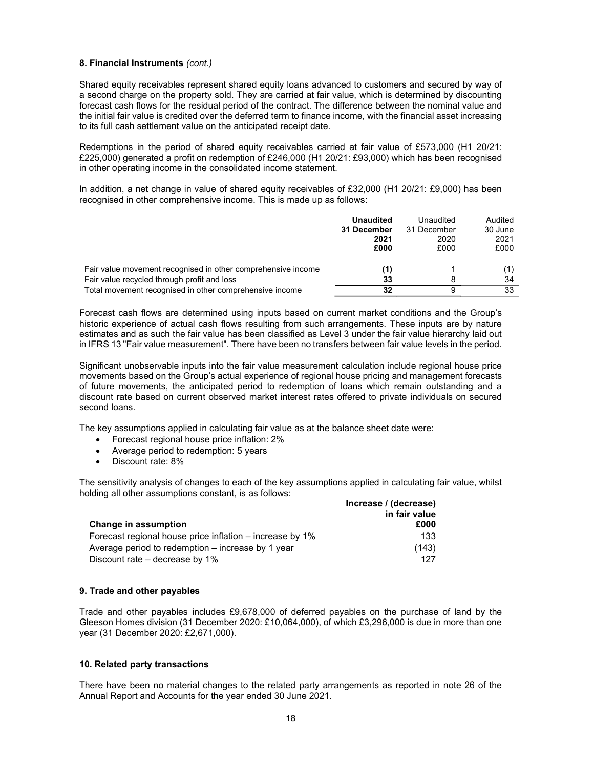### 8. Financial Instruments (cont.)

Shared equity receivables represent shared equity loans advanced to customers and secured by way of a second charge on the property sold. They are carried at fair value, which is determined by discounting forecast cash flows for the residual period of the contract. The difference between the nominal value and the initial fair value is credited over the deferred term to finance income, with the financial asset increasing to its full cash settlement value on the anticipated receipt date.

Redemptions in the period of shared equity receivables carried at fair value of £573,000 (H1 20/21: £225,000) generated a profit on redemption of £246,000 (H1 20/21: £93,000) which has been recognised in other operating income in the consolidated income statement.

In addition, a net change in value of shared equity receivables of £32,000 (H1 20/21: £9,000) has been recognised in other comprehensive income. This is made up as follows:

|                                                              | <b>Unaudited</b><br>31 December | Unaudited<br>31 December | Audited<br>30 June |
|--------------------------------------------------------------|---------------------------------|--------------------------|--------------------|
|                                                              | 2021                            | 2020                     | 2021               |
|                                                              | £000                            | £000                     | £000               |
| Fair value movement recognised in other comprehensive income | (1)                             |                          |                    |
| Fair value recycled through profit and loss                  | 33                              |                          | 34                 |
| Total movement recognised in other comprehensive income      | 32                              | 9                        | 33                 |

Forecast cash flows are determined using inputs based on current market conditions and the Group's historic experience of actual cash flows resulting from such arrangements. These inputs are by nature estimates and as such the fair value has been classified as Level 3 under the fair value hierarchy laid out in IFRS 13 "Fair value measurement". There have been no transfers between fair value levels in the period.

Significant unobservable inputs into the fair value measurement calculation include regional house price movements based on the Group's actual experience of regional house pricing and management forecasts of future movements, the anticipated period to redemption of loans which remain outstanding and a discount rate based on current observed market interest rates offered to private individuals on secured second loans.

The key assumptions applied in calculating fair value as at the balance sheet date were:

- Forecast regional house price inflation: 2%
- Average period to redemption: 5 years
- Discount rate: 8%

The sensitivity analysis of changes to each of the key assumptions applied in calculating fair value, whilst holding all other assumptions constant, is as follows:

|                                                            | Increase / (decrease) |  |
|------------------------------------------------------------|-----------------------|--|
| <b>Change in assumption</b>                                | in fair value<br>£000 |  |
| Forecast regional house price inflation $-$ increase by 1% | 133                   |  |
| Average period to redemption $-$ increase by 1 year        | (143)                 |  |
| Discount rate – decrease by 1%                             | 127                   |  |

### 9. Trade and other payables

Trade and other payables includes £9,678,000 of deferred payables on the purchase of land by the Gleeson Homes division (31 December 2020: £10,064,000), of which £3,296,000 is due in more than one year (31 December 2020: £2,671,000).

### 10. Related party transactions

There have been no material changes to the related party arrangements as reported in note 26 of the Annual Report and Accounts for the year ended 30 June 2021.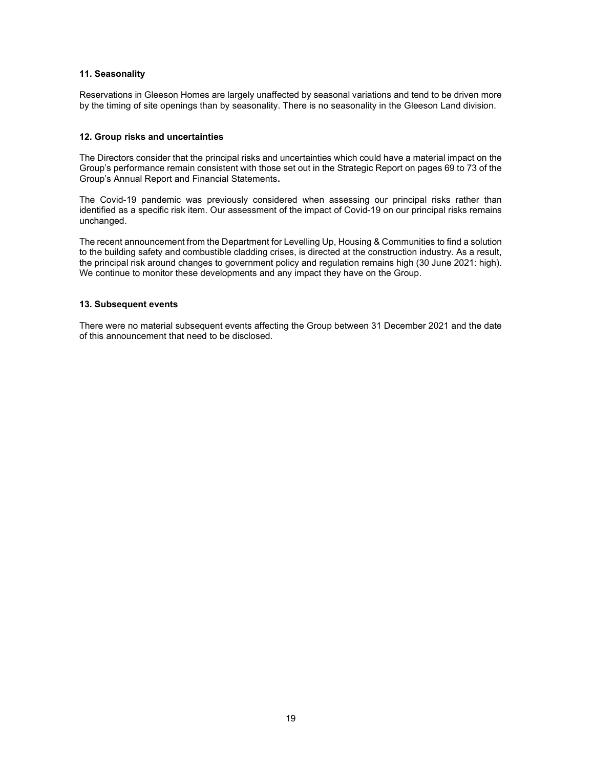### 11. Seasonality

Reservations in Gleeson Homes are largely unaffected by seasonal variations and tend to be driven more by the timing of site openings than by seasonality. There is no seasonality in the Gleeson Land division.

## 12. Group risks and uncertainties

The Directors consider that the principal risks and uncertainties which could have a material impact on the Group's performance remain consistent with those set out in the Strategic Report on pages 69 to 73 of the Group's Annual Report and Financial Statements.

The Covid-19 pandemic was previously considered when assessing our principal risks rather than identified as a specific risk item. Our assessment of the impact of Covid-19 on our principal risks remains unchanged.

The recent announcement from the Department for Levelling Up, Housing & Communities to find a solution to the building safety and combustible cladding crises, is directed at the construction industry. As a result, the principal risk around changes to government policy and regulation remains high (30 June 2021: high). We continue to monitor these developments and any impact they have on the Group.

### 13. Subsequent events

There were no material subsequent events affecting the Group between 31 December 2021 and the date of this announcement that need to be disclosed.